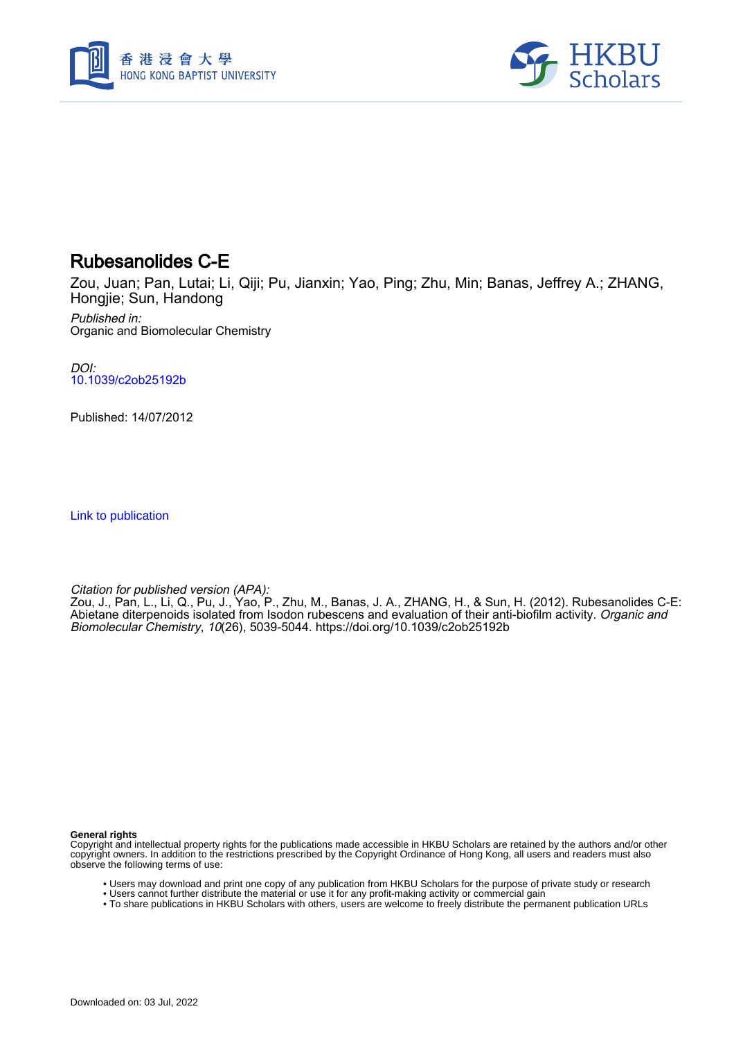



## Rubesanolides C-E

Zou, Juan; Pan, Lutai; Li, Qiji; Pu, Jianxin; Yao, Ping; Zhu, Min; Banas, Jeffrey A.; ZHANG, Hongjie; Sun, Handong

Published in: Organic and Biomolecular Chemistry

DOI: [10.1039/c2ob25192b](https://doi.org/10.1039/c2ob25192b)

Published: 14/07/2012

[Link to publication](https://scholars.hkbu.edu.hk/en/publications/a31708d5-1a89-4ff2-b8dc-342fae4501d6)

Citation for published version (APA):

Zou, J., Pan, L., Li, Q., Pu, J., Yao, P., Zhu, M., Banas, J. A., ZHANG, H., & Sun, H. (2012). Rubesanolides C-E: Abietane diterpenoids isolated from Isodon rubescens and evaluation of their anti-biofilm activity. *Organic and* Biomolecular Chemistry, 10(26), 5039-5044. <https://doi.org/10.1039/c2ob25192b>

**General rights**

Copyright and intellectual property rights for the publications made accessible in HKBU Scholars are retained by the authors and/or other copyright owners. In addition to the restrictions prescribed by the Copyright Ordinance of Hong Kong, all users and readers must also observe the following terms of use:

- Users may download and print one copy of any publication from HKBU Scholars for the purpose of private study or research
- Users cannot further distribute the material or use it for any profit-making activity or commercial gain
- To share publications in HKBU Scholars with others, users are welcome to freely distribute the permanent publication URLs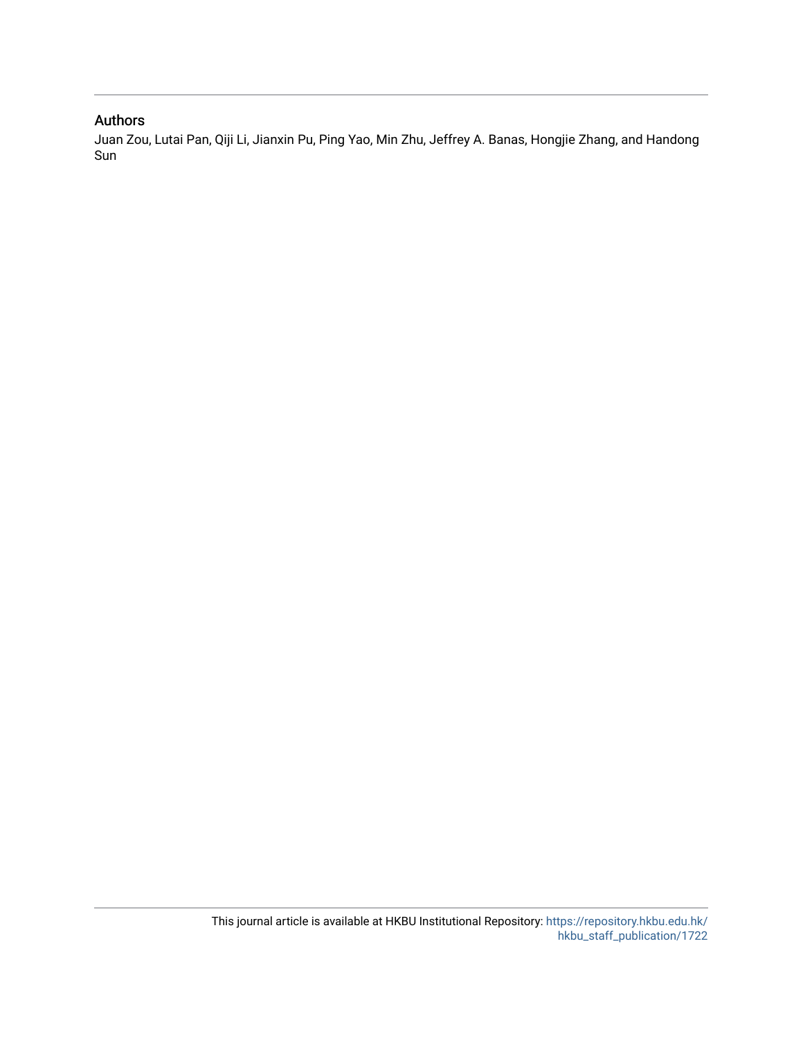## Authors

Juan Zou, Lutai Pan, Qiji Li, Jianxin Pu, Ping Yao, Min Zhu, Jeffrey A. Banas, Hongjie Zhang, and Handong Sun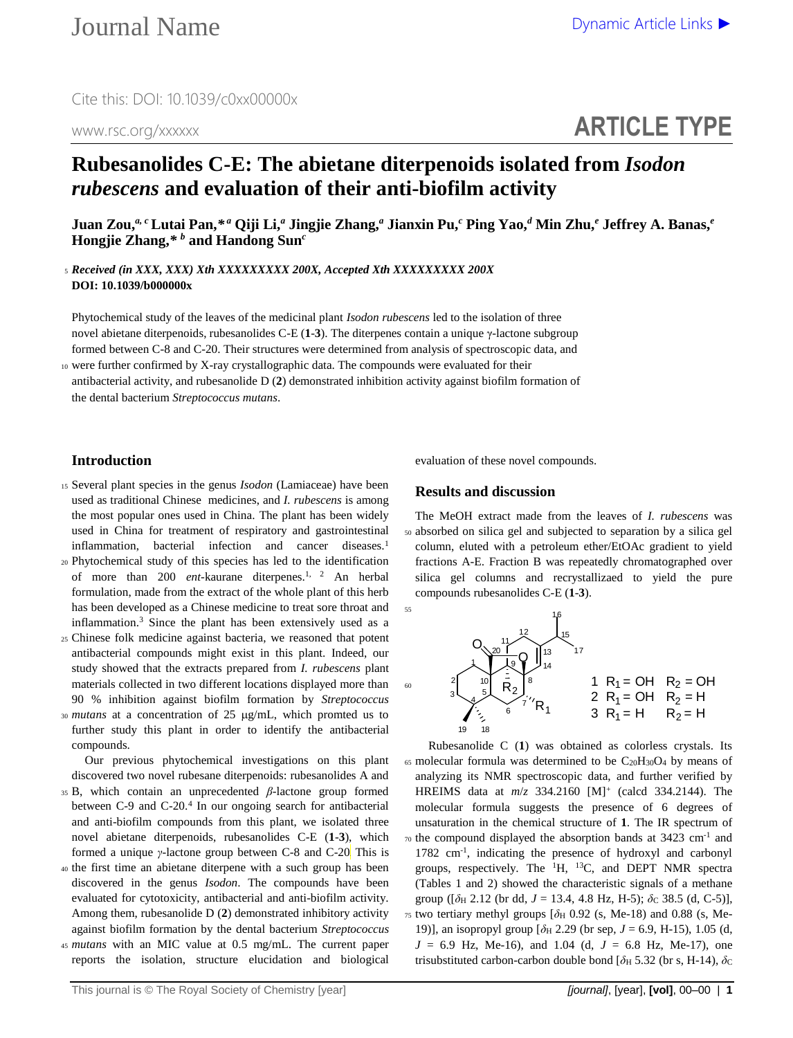# **ARTICLE TYPE**

## **Rubesanolides C-E: The abietane diterpenoids isolated from** *Isodon rubescens* **and evaluation of their anti-biofilm activity**

Juan Zou,<sup>a, c</sup> Lutai Pan,\*ª Qiji Li,ª Jingjie Zhang,ª Jianxin Pu,<sup>c</sup> Ping Yao,<sup>d</sup> Min Zhu,<sup>e</sup> Jeffrey A. Banas,<sup>e</sup> **Hongjie Zhang,***\* b* **and Handong Sun***<sup>c</sup>*

<sup>5</sup> *Received (in XXX, XXX) Xth XXXXXXXXX 200X, Accepted Xth XXXXXXXXX 200X* **DOI: 10.1039/b000000x**

Phytochemical study of the leaves of the medicinal plant *Isodon rubescens* led to the isolation of three novel abietane diterpenoids, rubesanolides C-E (**1**-**3**). The diterpenes contain a unique γ-lactone subgroup formed between C-8 and C-20. Their structures were determined from analysis of spectroscopic data, and

<sup>10</sup> were further confirmed by X-ray crystallographic data. The compounds were evaluated for their antibacterial activity, and rubesanolide D (**2**) demonstrated inhibition activity against biofilm formation of the dental bacterium *Streptococcus mutans*.

## **Introduction**

- <sup>15</sup> Several plant species in the genus *Isodon* (Lamiaceae) have been used as traditional Chinese medicines, and *I. rubescens* is among the most popular ones used in China. The plant has been widely used in China for treatment of respiratory and gastrointestinal inflammation, bacterial infection and cancer diseases.<sup>1</sup>
- <sup>20</sup> Phytochemical study of this species has led to the identification of more than [2](#page-7-1)00 *ent*-kaurane diterpenes.<sup>[1,](#page-7-0) 2</sup> An herbal formulation, made from the extract of the whole plant of this herb has been developed as a Chinese medicine to treat sore throat and inflammation.<sup>3</sup> Since the plant has been extensively used as a
- <sup>25</sup> Chinese folk medicine against bacteria, we reasoned that potent antibacterial compounds might exist in this plant. Indeed, our study showed that the extracts prepared from *I. rubescens* plant materials collected in two different locations displayed more than 90 % inhibition against biofilm formation by *Streptococcus*  30 *mutans* at a concentration of 25 µg/mL, which promted us to further study this plant in order to identify the antibacterial
- compounds.

Our previous phytochemical investigations on this plant discovered two novel rubesane diterpenoids: rubesanolides A and

- <sup>35</sup> B, which contain an unprecedented *β*-lactone group formed between C-9 and C-20[.](#page-7-2)<sup>4</sup> In our ongoing search for antibacterial and anti-biofilm compounds from this plant, we isolated three novel abietane diterpenoids, rubesanolides C-E (**1**-**3**), which formed a unique *γ*-lactone group between C-8 and C-20 This is
- <sup>40</sup> the first time an abietane diterpene with a such group has been discovered in the genus *Isodon*. The compounds have been evaluated for cytotoxicity, antibacterial and anti-biofilm activity. Among them, rubesanolide D (**2**) demonstrated inhibitory activity against biofilm formation by the dental bacterium *Streptococcus*
- <sup>45</sup> *mutans* with an MIC value at 0.5 mg/mL. The current paper reports the isolation, structure elucidation and biological

evaluation of these novel compounds.

## **Results and discussion**

The MeOH extract made from the leaves of *I. rubescens* was <sup>50</sup> absorbed on silica gel and subjected to separation by a silica gel column, eluted with a petroleum ether/EtOAc gradient to yield fractions A-E. Fraction B was repeatedly chromatographed over silica gel columns and recrystallizaed to yield the pure compounds rubesanolides C-E (**1**-**3**).



Rubesanolide C (**1**) was obtained as colorless crystals. Its  $65$  molecular formula was determined to be  $C_{20}H_{30}O_4$  by means of analyzing its NMR spectroscopic data, and further verified by HREIMS data at *m*/*z* 334.2160 [M]<sup>+</sup> (calcd 334.2144). The molecular formula suggests the presence of 6 degrees of unsaturation in the chemical structure of **1**. The IR spectrum of  $70$  the compound displayed the absorption bands at 3423 cm<sup>-1</sup> and 1782 cm-1 , indicating the presence of hydroxyl and carbonyl groups, respectively. The  ${}^{1}H$ ,  ${}^{13}C$ , and DEPT NMR spectra (Tables 1 and 2) showed the characteristic signals of a methane group ( $[\delta_H 2.12$  (br dd,  $J = 13.4$ , 4.8 Hz, H-5);  $\delta_C 38.5$  (d, C-5)], <sup>75</sup> two tertiary methyl groups [*δ*<sup>H</sup> 0.92 (s, Me-18) and 0.88 (s, Me-19)], an isopropyl group [*δ*<sup>H</sup> 2.29 (br sep, *J* = 6.9, H-15), 1.05 (d,  $J = 6.9$  Hz, Me-16), and 1.04 (d,  $J = 6.8$  Hz, Me-17), one trisubstituted carbon-carbon double bond  $[\delta_{\text{H}} 5.32$  (br s, H-14),  $\delta_{\text{C}}$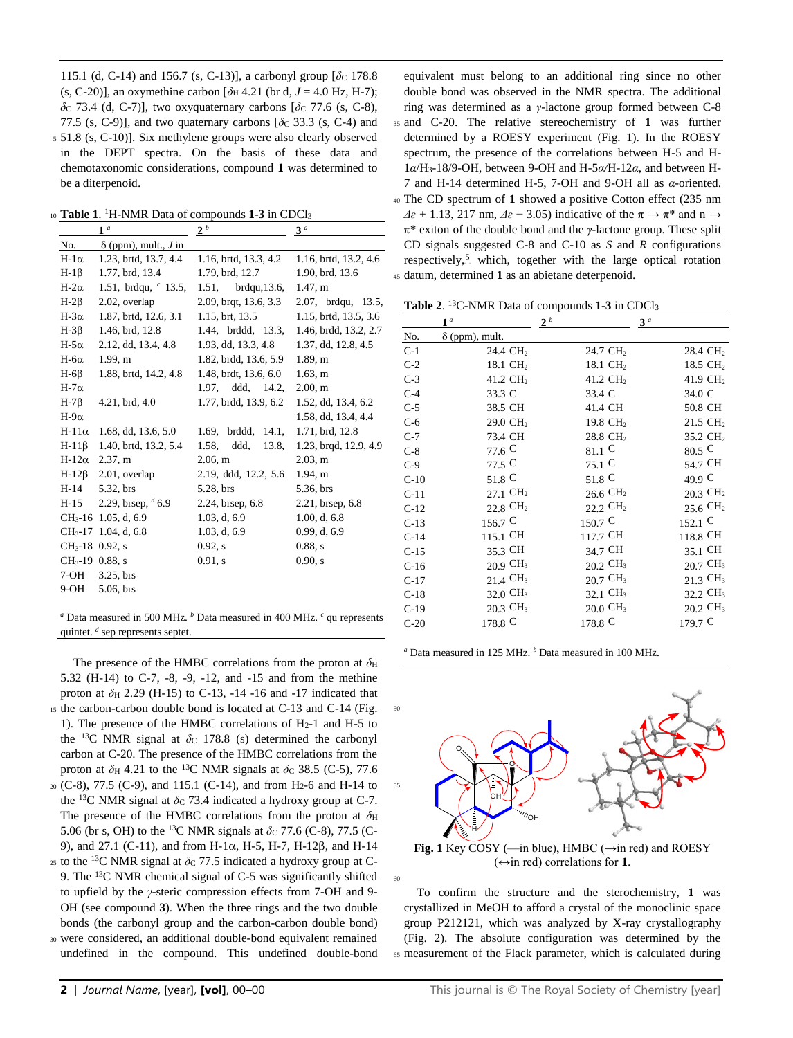115.1 (d, C-14) and 156.7 (s, C-13)], a carbonyl group  $\lceil \delta c \rceil$  178.8 (s, C-20)], an oxymethine carbon  $[\delta_H 4.21$  (br d,  $J = 4.0$  Hz, H-7);  $\delta$ <sub>C</sub> 73.4 (d, C-7)], two oxyquaternary carbons  $\delta$ <sub>C</sub> 77.6 (s, C-8), 77.5 (s, C-9)], and two quaternary carbons [ $\delta$ c 33.3 (s, C-4) and <sup>5</sup> 51.8 (s, C-10)]. Six methylene groups were also clearly observed in the DEPT spectra. On the basis of these data and chemotaxonomic considerations, compound **1** was determined to be a diterpenoid.

10 Table 1. <sup>1</sup>H-NMR Data of compounds 1-3 in CDCl<sub>3</sub>

|                   | 1 <sup>a</sup>                     | 2 <sup>b</sup>         | 3 <sup>a</sup>        |
|-------------------|------------------------------------|------------------------|-----------------------|
| No.               | $\delta$ (ppm), mult., <i>J</i> in |                        |                       |
| $H-1\alpha$       | 1.23, brtd, 13.7, 4.4              | 1.16, brtd, 13.3, 4.2  | 1.16, brtd, 13.2, 4.6 |
| $H-1\beta$        | 1.77, brd, 13.4                    | 1.79, brd, 12.7        | 1.90, brd, 13.6       |
| H-2 $\alpha$      | 1.51, brdqu, $\degree$ 13.5,       | $1.51$ , brdqu, 13.6,  | 1.47, m               |
| $H-2\beta$        | 2.02, overlap                      | 2.09, brqt, 13.6, 3.3  | 2.07, brdqu, 13.5,    |
| H-3 $\alpha$      | 1.87, brtd, 12.6, 3.1              | 1.15, brt, 13.5        | 1.15, brtd, 13.5, 3.6 |
| $H-3\beta$        | 1.46, brd, 12.8                    | 1.44, brddd, 13.3,     | 1.46, brdd, 13.2, 2.7 |
| H-5 $\alpha$      | 2.12, dd, 13.4, 4.8                | 1.93, dd, 13.3, 4.8    | 1.37, dd, 12.8, 4.5   |
| $H$ -6 $\alpha$   | 1.99 m                             | 1.82, brdd, 13.6, 5.9  | 1.89, m               |
| $H-6\beta$        | 1.88, brtd, 14.2, 4.8              | 1.48, brdt, 13.6, 6.0  | $1.63$ , m            |
| H-7 $\alpha$      |                                    | 1.97, ddd, 14.2,       | 2.00, m               |
| $H-7\beta$        | $4.21$ , brd, $4.0$                | 1.77, brdd, 13.9, 6.2  | 1.52, dd, 13.4, 6.2   |
| H-9 $\alpha$      |                                    |                        | 1.58, dd, 13.4, 4.4   |
| $H-11\alpha$      | 1.68, dd, 13.6, 5.0                | 1.69, brddd,<br>14.1,  | 1.71, brd, 12.8       |
| $H-11\beta$       | 1.40, brtd, 13.2, 5.4              | 1.58,<br>ddd.<br>13.8. | 1.23, brgd, 12.9, 4.9 |
| $H-12\alpha$      | 2.37, m                            | 2.06, m                | 2.03, m               |
| $H-12\beta$       | 2.01, overlap                      | 2.19, ddd, 12.2, 5.6   | 1.94, m               |
| H-14              | 5.32, brs                          | 5.28, brs              | 5.36, brs             |
| H-15              | 2.29, brsep, $46.9$                | 2.24, brsep, 6.8       | 2.21, brsep, 6.8      |
| $CH3$ -16         | 1.05, d, 6.9                       | 1.03, d, 6.9           | 1.00, d, 6.8          |
|                   | CH <sub>3</sub> -17 1.04, d, 6.8   | 1.03, d, 6.9           | 0.99, d, 6.9          |
| $CH3-18$ 0.92, s  |                                    | $0.92$ , s             | 0.88, s               |
| $CH_3-19$ 0.88, s |                                    | $0.91$ , s             | 0.90. s               |
| 7-OH              | $3.25$ , brs                       |                        |                       |
| 9-OH              | $5.06$ , brs                       |                        |                       |
|                   |                                    |                        |                       |
|                   |                                    |                        |                       |

*<sup>a</sup>* Data measured in 500 MHz. *<sup>b</sup>* Data measured in 400 MHz. *<sup>c</sup>* qu represents quintet. *<sup>d</sup>* sep represents septet.

The presence of the HMBC correlations from the proton at  $\delta$ H 5.32 (H-14) to C-7, -8, -9, -12, and -15 and from the methine proton at *δ*<sup>H</sup> 2.29 (H-15) to C-13, -14 -16 and -17 indicated that <sup>15</sup> the carbon-carbon double bond is located at C-13 and C-14 (Fig. 1). The presence of the HMBC correlations of  $H_2-1$  and  $H_2-5$  to the <sup>13</sup>C NMR signal at  $\delta$ c 178.8 (s) determined the carbonyl carbon at C-20. The presence of the HMBC correlations from the proton at  $\delta$ H 4.21 to the <sup>13</sup>C NMR signals at  $\delta$ C 38.5 (C-5), 77.6 <sup>20</sup> (C-8), 77.5 (C-9), and 115.1 (C-14), and from H2-6 and H-14 to the <sup>13</sup>C NMR signal at  $\delta$ c 73.4 indicated a hydroxy group at C-7.

The presence of the HMBC correlations from the proton at  $\delta_H$ 5.06 (br s, OH) to the <sup>13</sup>C NMR signals at  $\delta$ c 77.6 (C-8), 77.5 (C-9), and 27.1 (C-11), and from H-1 $\alpha$ , H-5, H-7, H-12 $\beta$ , and H-14

 $25$  to the <sup>13</sup>C NMR signal at  $\delta$ c 77.5 indicated a hydroxy group at C-9. The <sup>13</sup>C NMR chemical signal of C-5 was significantly shifted to upfield by the *γ*-steric compression effects from 7-OH and 9- OH (see compound **3**). When the three rings and the two double bonds (the carbonyl group and the carbon-carbon double bond)

<sup>30</sup> were considered, an additional double-bond equivalent remained undefined in the compound. This undefined double-bond

equivalent must belong to an additional ring since no other double bond was observed in the NMR spectra. The additional ring was determined as a *γ*-lactone group formed between C-8 <sup>35</sup> and C-20. The relative stereochemistry of **1** was further determined by a ROESY experiment (Fig. 1). In the ROESY spectrum, the presence of the correlations between H-5 and H-1*α*/H3-18/9-OH, between 9-OH and H-5*α/*H-12*α*, and between H-7 and H-14 determined H-5, 7-OH and 9-OH all as *α*-oriented. <sup>40</sup> The CD spectrum of **1** showed a positive Cotton effect (235 nm  $\Delta \varepsilon$  + 1.13, 217 nm,  $\Delta \varepsilon$  – 3.05) indicative of the  $\pi \rightarrow \pi^*$  and n  $\rightarrow$ π\* exiton of the double bond and the *γ*-lactone group. These split CD signals suggested C-8 and C-10 as *S* and *R* configurations respectively,<sup>5</sup> which, together with the large optical rotation <sup>45</sup> datum, determined **1** as an abietane deterpenoid.

**Table 2**. <sup>13</sup>C-NMR Data of compounds **1**-**3** in CDCl<sup>3</sup>

|        | 1 <sup>a</sup>        | 2 <sup>b</sup>       | 3 <sup>a</sup>       |
|--------|-----------------------|----------------------|----------------------|
| No.    | $\delta$ (ppm), mult. |                      |                      |
| $C-1$  | 24.4 CH <sub>2</sub>  | 24.7 CH <sub>2</sub> | 28.4 CH <sub>2</sub> |
| $C-2$  | 18.1 CH <sub>2</sub>  | 18.1 CH <sub>2</sub> | 18.5 CH <sub>2</sub> |
| $C-3$  | 41.2 CH <sub>2</sub>  | 41.2 CH <sub>2</sub> | 41.9 CH <sub>2</sub> |
| $C-4$  | 33.3 C                | 33.4 C               | 34.0 C               |
| $C-5$  | 38.5 CH               | 41.4 CH              | 50.8 CH              |
| $C-6$  | 29.0 CH <sub>2</sub>  | 19.8 CH <sub>2</sub> | 21.5 CH <sub>2</sub> |
| $C-7$  | 73.4 CH               | 28.8 CH <sub>2</sub> | 35.2 CH <sub>2</sub> |
| $C-8$  | 77.6 C                | $_{81.1}$ C          | $80.5 \text{ C}$     |
| $C-9$  | 77.5 C                | $75.1 \text{ C}$     | 54.7 CH              |
| $C-10$ | 51.8 C                | 51.8 C               | 49.9 C               |
| $C-11$ | 27.1 CH <sub>2</sub>  | 26.6 CH <sub>2</sub> | 20.3 CH <sub>2</sub> |
| $C-12$ | 22.8 CH <sub>2</sub>  | 22.2 CH <sub>2</sub> | 25.6 CH <sub>2</sub> |
| $C-13$ | 156.7 C               | 150.7 C              | $152.1 \text{ C}$    |
| $C-14$ | 115.1 CH              | 117.7 CH             | 118.8 CH             |
| $C-15$ | 35.3 CH               | 34.7 CH              | 35.1 CH              |
| $C-16$ | 20.9 CH <sub>3</sub>  | 20.2 CH <sub>3</sub> | 20.7 CH <sub>3</sub> |
| $C-17$ | 21.4 CH <sub>3</sub>  | 20.7 CH <sub>3</sub> | 21.3 CH <sub>3</sub> |
| $C-18$ | 32.0 CH <sub>3</sub>  | 32.1 CH <sub>3</sub> | 32.2 CH <sub>3</sub> |
| $C-19$ | 20.3 CH <sub>3</sub>  | $20.0 \text{ } CH_3$ | 20.2 CH <sub>3</sub> |
| $C-20$ | 178.8 C               | 178.8 C              | 179.7 C              |

*<sup>a</sup>* Data measured in 125 MHz. *<sup>b</sup>* Data measured in 100 MHz.



**Fig. 1** Key COSY (—in blue), HMBC ( $\rightarrow$ in red) and ROESY  $(\leftrightarrow$ in red) correlations for **1**.

60

To confirm the structure and the sterochemistry, **1** was crystallized in MeOH to afford a crystal of the monoclinic space group P212121, which was analyzed by X-ray crystallography (Fig. 2). The absolute configuration was determined by the <sup>65</sup> measurement of the Flack parameter, which is calculated during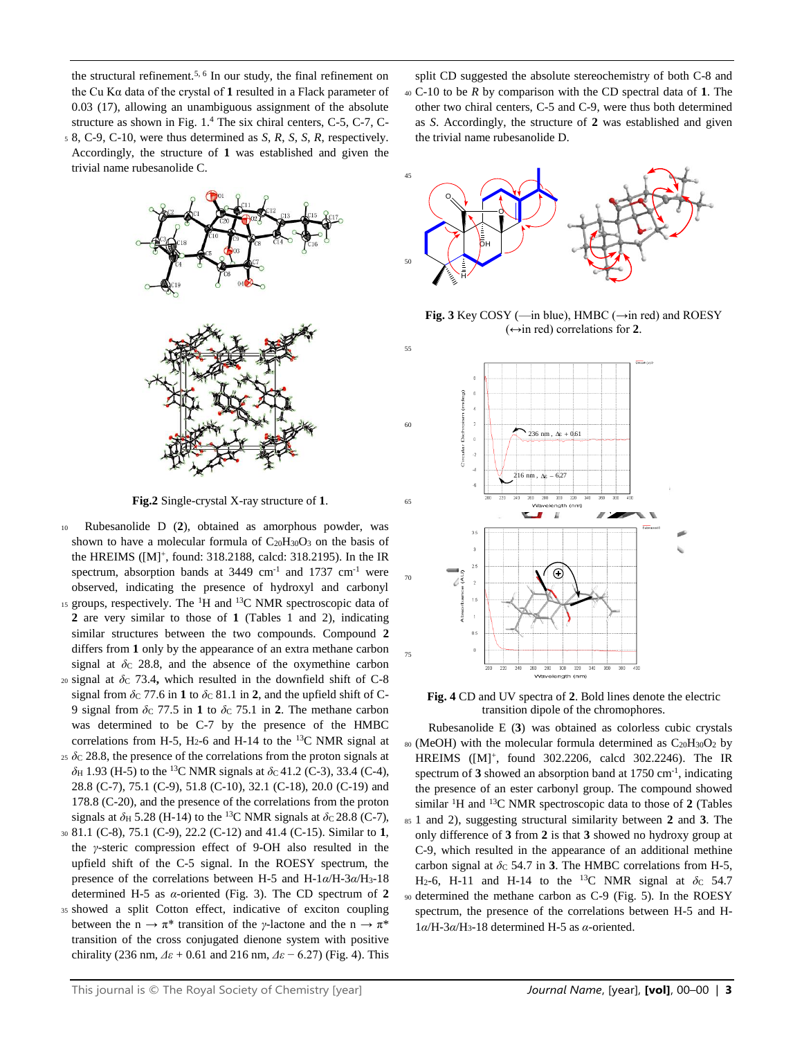the structural refinement.<sup>5, 6</sup> In our study, the final refinement on the Cu K $\alpha$  data of the crystal of 1 resulted in a Flack parameter of 0.03 (17), allowing an unambiguous assignment of the absolute structure as shown in Fig. 1. <sup>4</sup> The six chiral centers, C-5, C-7, C-<sup>5</sup> 8, C-9, C-10, were thus determined as *S*, *R*, *S*, *S*, *R*, respectively. Accordingly, the structure of **1** was established and given the



**Fig.2** Single-crystal X-ray structure of **1**.

- <sup>10</sup> Rubesanolide D (**2**), obtained as amorphous powder, was shown to have a molecular formula of  $C_{20}H_{30}O_3$  on the basis of the HREIMS ([M]<sup>+</sup> , found: 318.2188, calcd: 318.2195). In the IR spectrum, absorption bands at  $3449 \text{ cm}^{-1}$  and  $1737 \text{ cm}^{-1}$  were observed, indicating the presence of hydroxyl and carbonyl 15 groups, respectively. The <sup>1</sup>H and <sup>13</sup>C NMR spectroscopic data of **2** are very similar to those of **1** (Tables 1 and 2), indicating similar structures between the two compounds. Compound **2** differs from **1** only by the appearance of an extra methane carbon signal at  $\delta$ <sub>C</sub> 28.8, and the absence of the oxymethine carbon  $20$  signal at  $\delta$ <sub>C</sub> 73.4, which resulted in the downfield shift of C-8 signal from  $\delta$ C 77.6 in **1** to  $\delta$ C 81.1 in **2**, and the upfield shift of C-
- 9 signal from  $\delta$ c 77.5 in 1 to  $\delta$ c 75.1 in 2. The methane carbon was determined to be C-7 by the presence of the HMBC correlations from H-5, H<sub>2</sub>-6 and H-14 to the <sup>13</sup>C NMR signal at  $25 \delta$ C 28.8, the presence of the correlations from the proton signals at
- $\delta$ H 1.93 (H-5) to the <sup>13</sup>C NMR signals at  $\delta$ c 41.2 (C-3), 33.4 (C-4), 28.8 (C-7), 75.1 (C-9), 51.8 (C-10), 32.1 (C-18), 20.0 (C-19) and 178.8 (C-20), and the presence of the correlations from the proton signals at  $\delta$ H 5.28 (H-14) to the <sup>13</sup>C NMR signals at  $\delta$ c 28.8 (C-7),
- <sup>30</sup> 81.1 (C-8), 75.1 (C-9), 22.2 (C-12) and 41.4 (C-15). Similar to **1**, the *γ*-steric compression effect of 9-OH also resulted in the upfield shift of the C-5 signal. In the ROESY spectrum, the presence of the correlations between H-5 and H-1*α*/H-3*α*/H3-18 determined H-5 as *α*-oriented (Fig. 3). The CD spectrum of **2**
- <sup>35</sup> showed a split Cotton effect, indicative of exciton coupling between the  $n \to \pi^*$  transition of the *γ*-lactone and the  $n \to \pi^*$ transition of the cross conjugated dienone system with positive chirality (236 nm, *Δε* + 0.61 and 216 nm, *Δε* − 6.27) (Fig. 4). This

split CD suggested the absolute stereochemistry of both C-8 and <sup>40</sup> C-10 to be *R* by comparison with the CD spectral data of **1**. The other two chiral centers, C-5 and C-9, were thus both determined as *S*. Accordingly, the structure of **2** was established and given the trivial name rubesanolide D.



**Fig. 3** Key COSY (—in blue), HMBC (→in red) and ROESY  $(\leftrightarrow)$  red) correlations for 2.



**Fig. 4** CD and UV spectra of **2**. Bold lines denote the electric transition dipole of the chromophores.

Rubesanolide E (**3**) was obtained as colorless cubic crystals  $80$  (MeOH) with the molecular formula determined as  $C_{20}H_{30}O_2$  by HREIMS ([M]<sup>+</sup> , found 302.2206, calcd 302.2246). The IR spectrum of 3 showed an absorption band at 1750 cm<sup>-1</sup>, indicating the presence of an ester carbonyl group. The compound showed similar <sup>1</sup>H and <sup>13</sup>C NMR spectroscopic data to those of **2** (Tables <sup>85</sup> 1 and 2), suggesting structural similarity between **2** and **3**. The only difference of **3** from **2** is that **3** showed no hydroxy group at C-9, which resulted in the appearance of an additional methine carbon signal at  $\delta$ c 54.7 in **3**. The HMBC correlations from H-5, H<sub>2</sub>-6, H-11 and H-14 to the <sup>13</sup>C NMR signal at  $\delta$ c 54.7 <sup>90</sup> determined the methane carbon as C-9 (Fig. 5). In the ROESY spectrum, the presence of the correlations between H-5 and H-1*α*/H-3*α*/H3-18 determined H-5 as *α*-oriented.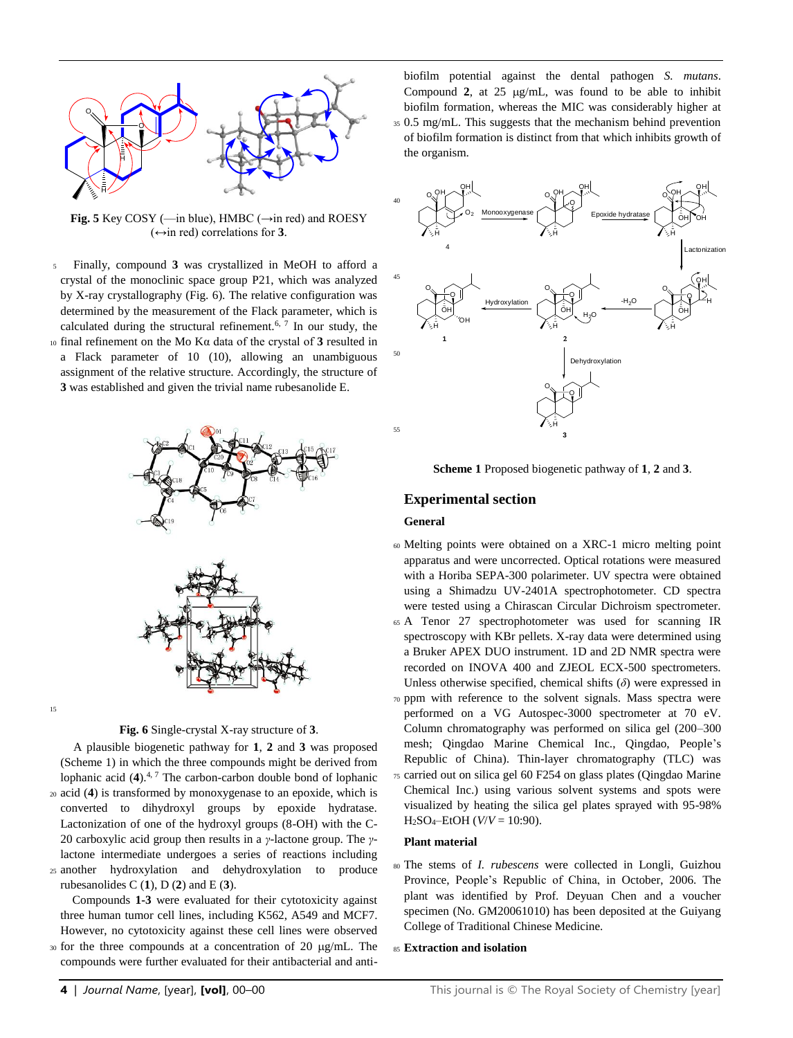

**Fig. 5** Key COSY (—in blue), HMBC ( $\rightarrow$ in red) and ROESY  $(\leftrightarrow$ in red) correlations for **3**.

<sup>5</sup> Finally, compound **3** was crystallized in MeOH to afford a crystal of the monoclinic space group P21, which was analyzed by X-ray crystallography (Fig. 6). The relative configuration was determined by the measurement of the Flack parameter, which is calculated during the structural refinement.<sup>[6,](#page-7-3) [7](#page-7-4)</sup> In our study, the <sup>10</sup> final refinement on the Mo Kα data of the crystal of **3** resulted in a Flack parameter of 10 (10), allowing an unambiguous assignment of the relative structure. Accordingly, the structure of **3** was established and given the trivial name rubesanolide E.



### **Fig. 6** Single-crystal X-ray structure of **3**.

A plausible biogenetic pathway for **1**, **2** and **3** was proposed (Scheme 1) in which the three compounds might be derived from lophanic acid (**4**). 4, 7 The carbon-carbon double bond of lophanic <sup>20</sup> acid (**4**) is transformed by monoxygenase to an epoxide, which is converted to dihydroxyl groups by epoxide hydratase. Lactonization of one of the hydroxyl groups (8-OH) with the C-20 carboxylic acid group then results in a *γ*-lactone group. The *γ*lactone intermediate undergoes a series of reactions including <sup>25</sup> another hydroxylation and dehydroxylation to produce

rubesanolides C (**1**), D (**2**) and E (**3**).

Compounds **1-3** were evaluated for their cytotoxicity against three human tumor cell lines, including K562, A549 and MCF7. However, no cytotoxicity against these cell lines were observed 30 for the three compounds at a concentration of 20 µg/mL. The

compounds were further evaluated for their antibacterial and anti-

biofilm potential against the dental pathogen *S. mutans*. Compound  $2$ , at  $25 \mu g/mL$ , was found to be able to inhibit biofilm formation, whereas the MIC was considerably higher at <sup>35</sup> 0.5 mg/mL. This suggests that the mechanism behind prevention of biofilm formation is distinct from that which inhibits growth of the organism.



**Scheme 1** Proposed biogenetic pathway of **1**, **2** and **3**.

### **Experimental section**

#### **General**

- <sup>60</sup> Melting points were obtained on a XRC-1 micro melting point apparatus and were uncorrected. Optical rotations were measured with a Horiba SEPA-300 polarimeter. UV spectra were obtained using a Shimadzu UV-2401A spectrophotometer. CD spectra were tested using a Chirascan Circular Dichroism spectrometer.
- <sup>65</sup> A Tenor 27 spectrophotometer was used for scanning IR spectroscopy with KBr pellets. X-ray data were determined using a Bruker APEX DUO instrument. 1D and 2D NMR spectra were recorded on INOVA 400 and ZJEOL ECX-500 spectrometers. Unless otherwise specified, chemical shifts (*δ*) were expressed in <sup>70</sup> ppm with reference to the solvent signals. Mass spectra were performed on a VG Autospec-3000 spectrometer at 70 eV. Column chromatography was performed on silica gel (200–300 mesh; Qingdao Marine Chemical Inc., Qingdao, People's Republic of China). Thin-layer chromatography (TLC) was <sup>75</sup> carried out on silica gel 60 F254 on glass plates (Qingdao Marine Chemical Inc.) using various solvent systems and spots were visualized by heating the silica gel plates sprayed with 95-98% H2SO4‒EtOH (*V*/*V* = 10:90).

#### **Plant material**

- <sup>80</sup> The stems of *I. rubescens* were collected in Longli, Guizhou Province, People's Republic of China, in October, 2006. The plant was identified by Prof. Deyuan Chen and a voucher specimen (No. GM20061010) has been deposited at the Guiyang College of Traditional Chinese Medicine.
- 85 Extraction and isolation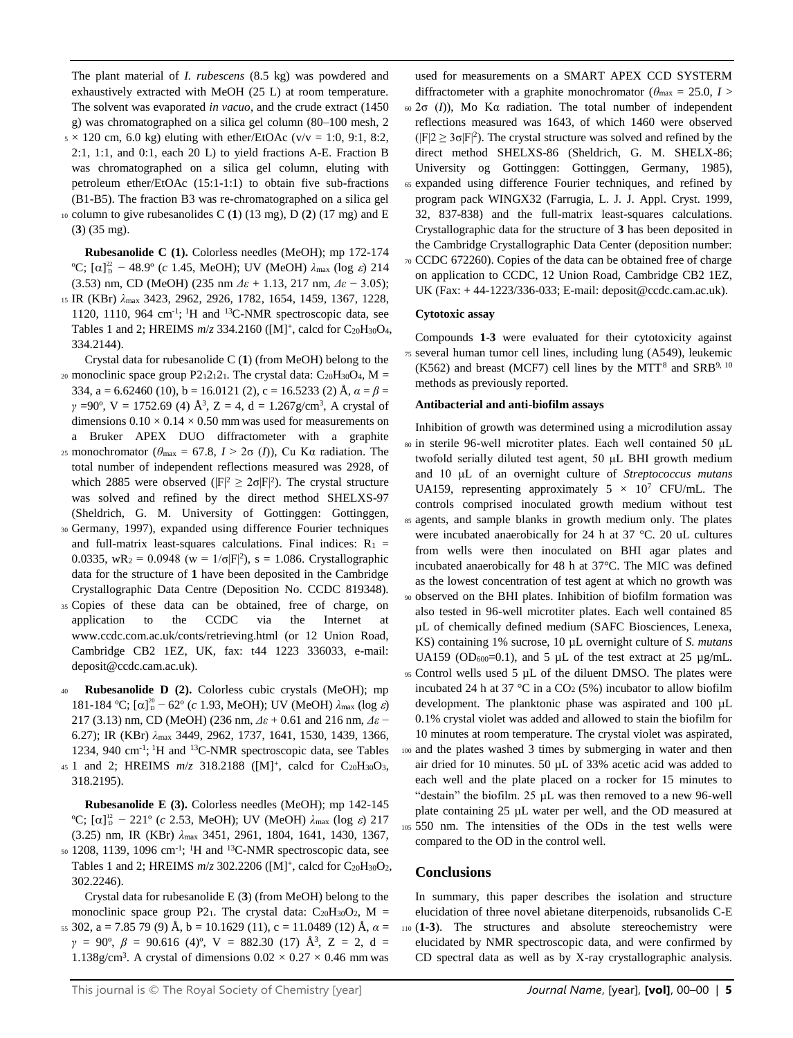The plant material of *I. rubescens* (8.5 kg) was powdered and exhaustively extracted with MeOH (25 L) at room temperature. The solvent was evaporated *in vacuo*, and the crude extract (1450 g) was chromatographed on a silica gel column (80–100 mesh, 2  $5 \times 120$  cm, 6.0 kg) eluting with ether/EtOAc (v/v = 1:0, 9:1, 8:2, 2:1, 1:1, and 0:1, each 20 L) to yield fractions A-E. Fraction B was chromatographed on a silica gel column, eluting with petroleum ether/EtOAc (15:1-1:1) to obtain five sub-fractions (B1-B5). The fraction B3 was re-chromatographed on a silica gel <sup>10</sup> column to give rubesanolides C (**1**) (13 mg), D (**2**) (17 mg) and E (**3**) (35 mg).

**Rubesanolide C (1).** Colorless needles (MeOH); mp 172-174 <sup>o</sup>C; [α]<sup>22</sup> - 48.9<sup>o</sup> (*c* 1.45, MeOH); UV (MeOH)  $\lambda$ <sub>max</sub> (log *ε*) 214 (3.53) nm, CD (MeOH) (235 nm *Δε* + 1.13, 217 nm, *Δε* − 3.05);

<sup>15</sup> IR (KBr) *λ*max 3423, 2962, 2926, 1782, 1654, 1459, 1367, 1228, 1120, 1110, 964 cm<sup>-1</sup>; <sup>1</sup>H and <sup>13</sup>C-NMR spectroscopic data, see Tables 1 and 2; HREIMS  $m/z$  334.2160 ([M]<sup>+</sup>, calcd for C<sub>20</sub>H<sub>30</sub>O<sub>4</sub>, 334.2144).

Crystal data for rubesanolide C (**1**) (from MeOH) belong to the 20 monoclinic space group P212121. The crystal data:  $C_{20}H_{30}O_4$ , M = 334,  $a = 6.62460$  (10),  $b = 16.0121$  (2),  $c = 16.5233$  (2) Å,  $\alpha = \beta =$ *γ* =90°, V = 1752.69 (4) Å<sup>3</sup>, Z = 4, d = 1.267g/cm<sup>3</sup>, A crystal of dimensions  $0.10 \times 0.14 \times 0.50$  mm was used for measurements on a Bruker APEX DUO diffractometer with a graphite

- <sup>25</sup> monochromator (*θ*max = 67.8, *I* > 2σ (*I*)), Cu Kα radiation. The total number of independent reflections measured was 2928, of which 2885 were observed ( $|F|^2 \geq 2\sigma |F|^2$ ). The crystal structure was solved and refined by the direct method SHELXS-97 (Sheldrich, G. M. University of Gottinggen: Gottinggen,
- <sup>30</sup> Germany, 1997), expanded using difference Fourier techniques and full-matrix least-squares calculations. Final indices:  $R_1$  = 0.0335,  $wR_2 = 0.0948$  ( $w = 1/\sigma |F|^2$ ),  $s = 1.086$ . Crystallographic data for the structure of **1** have been deposited in the Cambridge Crystallographic Data Centre (Deposition No. CCDC 819348).
- <sup>35</sup> Copies of these data can be obtained, free of charge, on application to the CCDC via the Internet at www.ccdc.com.ac.uk/conts/retrieving.html (or 12 Union Road, Cambridge CB2 1EZ, UK, fax: t44 1223 336033, e-mail: deposit@ccdc.cam.ac.uk).
- <sup>40</sup> **Rubesanolide D (2).** Colorless cubic crystals (MeOH); mp 181-184 °C; [α]<sup>20</sup> – 62° (*c* 1.93, MeOH); UV (MeOH)  $\lambda_{\text{max}}$  (log *ε*) 217 (3.13) nm, CD (MeOH) (236 nm, *Δε* + 0.61 and 216 nm, *Δε* − 6.27); IR (KBr) *λ*max 3449, 2962, 1737, 1641, 1530, 1439, 1366, 1234, 940 cm<sup>-1</sup>; <sup>1</sup>H and <sup>13</sup>C-NMR spectroscopic data, see Tables
- 45 1 and 2; HREIMS  $m/z$  318.2188 ([M]<sup>+</sup>, calcd for C<sub>20</sub>H<sub>30</sub>O<sub>3</sub>, 318.2195).

**Rubesanolide E (3).** Colorless needles (MeOH); mp 142-145 <sup>o</sup>C; [α]<sup>12</sup> - 221<sup>o</sup> (*c* 2.53, MeOH); UV (MeOH)  $\lambda$ <sub>max</sub> (log *ε*) 217 (3.25) nm, IR (KBr) *λ*max 3451, 2961, 1804, 1641, 1430, 1367, so 1208, 1139, 1096 cm<sup>-1</sup>; <sup>1</sup>H and <sup>13</sup>C-NMR spectroscopic data, see Tables 1 and 2; HREIMS  $m/z$  302.2206 ([M]<sup>+</sup>, calcd for C<sub>20</sub>H<sub>30</sub>O<sub>2</sub>, 302.2246).

Crystal data for rubesanolide E (**3**) (from MeOH) belong to the monoclinic space group P21. The crystal data:  $C_{20}H_{30}O_2$ , M = 55 302,  $a = 7.85$  79 (9) Å,  $b = 10.1629$  (11),  $c = 11.0489$  (12) Å,  $\alpha =$ *γ* = 90°, *β* = 90.616 (4)°, V = 882.30 (17) Å<sup>3</sup>, Z = 2, d = 1.138g/cm<sup>3</sup>. A crystal of dimensions  $0.02 \times 0.27 \times 0.46$  mm was

used for measurements on a SMART APEX CCD SYSTERM diffractometer with a graphite monochromator ( $\theta_{\text{max}} = 25.0$ ,  $I >$ <sup>60</sup> 2σ (*I*)), Mo Kα radiation. The total number of independent reflections measured was 1643, of which 1460 were observed  $(|F|2 \ge 3\sigma|F|^2)$ . The crystal structure was solved and refined by the direct method SHELXS-86 (Sheldrich, G. M. SHELX-86; University og Gottinggen: Gottinggen, Germany, 1985), <sup>65</sup> expanded using difference Fourier techniques, and refined by program pack WINGX32 (Farrugia, L. J. J. Appl. Cryst. 1999, 32, 837-838) and the full-matrix least-squares calculations. Crystallographic data for the structure of **3** has been deposited in the Cambridge Crystallographic Data Center (deposition number: <sup>70</sup> CCDC 672260). Copies of the data can be obtained free of charge on application to CCDC, 12 Union Road, Cambridge CB2 1EZ,

UK (Fax: + 44-1223/336-033; E-mail: deposit@ccdc.cam.ac.uk).

## **Cytotoxic assay**

Compounds **1-3** were evaluated for their cytotoxicity against <sup>75</sup> several human tumor cell lines, including lung (A549), leukemic (K562) and breast (MCF7) cell lines by the MTT.<sup>8</sup> and SRB<sup>9, 10</sup> methods as previously reported.

### **Antibacterial and anti-biofilm assays**

- Inhibition of growth was determined using a microdilution assay <sup>80</sup> in sterile 96-well microtiter plates. Each well contained 50 μL twofold serially diluted test agent, 50 μL BHI growth medium and 10 μL of an overnight culture of *Streptococcus mutans* UA159, representing approximately  $5 \times 10^7$  CFU/mL. The controls comprised inoculated growth medium without test <sup>85</sup> agents, and sample blanks in growth medium only. The plates were incubated anaerobically for 24 h at 37 °C. 20 uL cultures from wells were then inoculated on BHI agar plates and incubated anaerobically for 48 h at 37°C. The MIC was defined as the lowest concentration of test agent at which no growth was <sup>90</sup> observed on the BHI plates. Inhibition of biofilm formation was also tested in 96-well microtiter plates. Each well contained 85 µL of chemically defined medium (SAFC Biosciences, Lenexa, KS) containing 1% sucrose, 10 µL overnight culture of *S. mutans* UA159 (OD<sub>600</sub>=0.1), and 5  $\mu$ L of the test extract at 25  $\mu$ g/mL.
- <sup>95</sup> Control wells used 5 µL of the diluent DMSO. The plates were incubated 24 h at 37 °C in a  $CO<sub>2</sub>$  (5%) incubator to allow biofilm development. The planktonic phase was aspirated and 100 µL 0.1% crystal violet was added and allowed to stain the biofilm for 10 minutes at room temperature. The crystal violet was aspirated, <sup>100</sup> and the plates washed 3 times by submerging in water and then air dried for 10 minutes. 50 µL of 33% acetic acid was added to each well and the plate placed on a rocker for 15 minutes to "destain" the biofilm. 25 µL was then removed to a new 96-well plate containing 25 µL water per well, and the OD measured at <sup>105</sup> 550 nm. The intensities of the ODs in the test wells were compared to the OD in the control well.

## **Conclusions**

In summary, this paper describes the isolation and structure elucidation of three novel abietane diterpenoids, rubsanolids C-E <sup>110</sup> (**1**-**3**). The structures and absolute stereochemistry were elucidated by NMR spectroscopic data, and were confirmed by CD spectral data as well as by X-ray crystallographic analysis.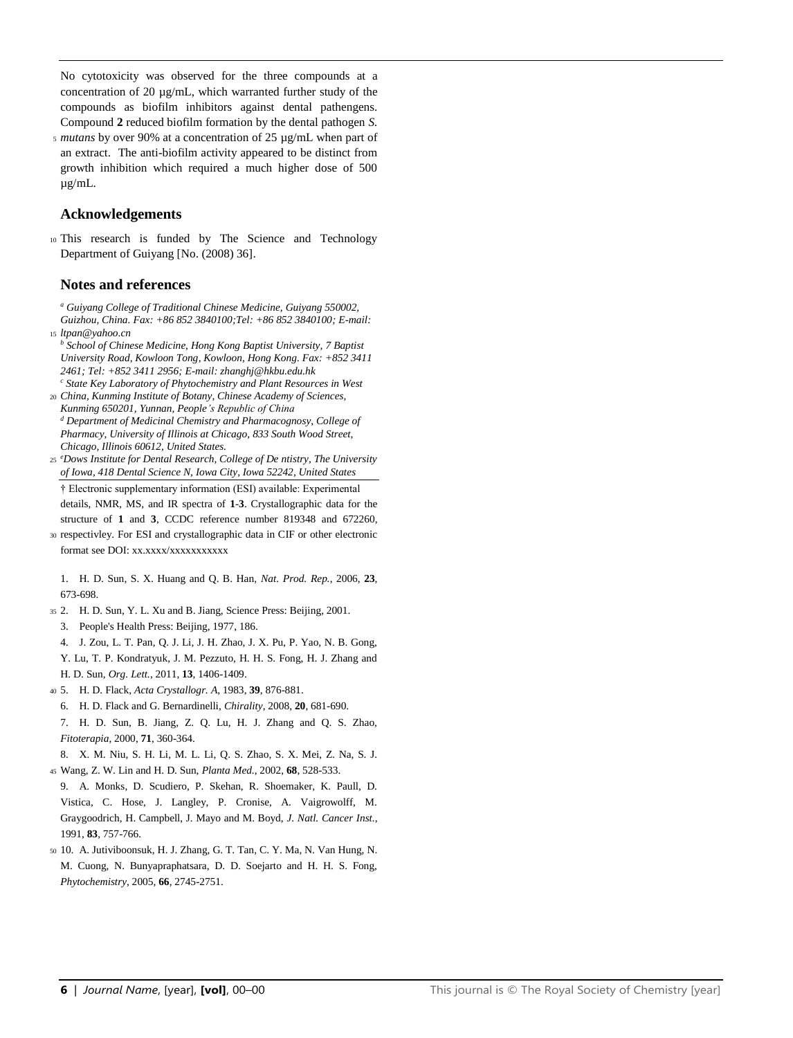No cytotoxicity was observed for the three compounds at a concentration of 20 µg/mL, which warranted further study of the compounds as biofilm inhibitors against dental pathengens. Compound **2** reduced biofilm formation by the dental pathogen *S.* 

<sup>5</sup> *mutans* by over 90% at a concentration of 25 µg/mL when part of an extract. The anti-biofilm activity appeared to be distinct from growth inhibition which required a much higher dose of 500 µg/mL.

## **Acknowledgements**

<sup>10</sup> This research is funded by The Science and Technology Department of Guiyang [No. (2008) 36].

## **Notes and references**

*<sup>a</sup> Guiyang College of Traditional Chinese Medicine, Guiyang 550002, Guizhou, China. Fax: +86 852 3840100;Tel: +86 852 3840100; E-mail:* <sup>15</sup> *ltpan@yahoo.cn*

- *<sup>b</sup> School of Chinese Medicine, Hong Kong Baptist University, 7 Baptist University Road, Kowloon Tong, Kowloon, Hong Kong. Fax: +852 3411 2461; Tel: +852 3411 2956; E-mail: zhanghj@hkbu.edu.hk*
- *<sup>c</sup> State Key Laboratory of Phytochemistry and Plant Resources in West*  <sup>20</sup> *China, Kunming Institute of Botany, Chinese Academy of Sciences,*
- *Kunming 650201, Yunnan, People's Republic of China <sup>d</sup> Department of Medicinal Chemistry and Pharmacognosy, College of Pharmacy, University of Illinois at Chicago, 833 South Wood Street, Chicago, Illinois 60612, United States.*
- *e* <sup>25</sup> *Dows Institute for Dental Research, College of De ntistry, The University of Iowa, 418 Dental Science N, Iowa City, Iowa 52242, United States*

† Electronic supplementary information (ESI) available: Experimental

details, NMR, MS, and IR spectra of **1**-**3**. Crystallographic data for the structure of **1** and **3**, CCDC reference number 819348 and 672260,

<sup>30</sup> respectivley. For ESI and crystallographic data in CIF or other electronic format see DOI: xx.xxxx/xxxxxxxxxxx

<span id="page-7-0"></span>1. H. D. Sun, S. X. Huang and Q. B. Han, *Nat. Prod. Rep.*, 2006, **23**, 673-698.

- <span id="page-7-2"></span><span id="page-7-1"></span><sup>35</sup> 2. H. D. Sun, Y. L. Xu and B. Jiang, Science Press: Beijing, 2001.
	- 3. People's Health Press: Beijing, 1977, 186.
	- 4. J. Zou, L. T. Pan, Q. J. Li, J. H. Zhao, J. X. Pu, P. Yao, N. B. Gong, Y. Lu, T. P. Kondratyuk, J. M. Pezzuto, H. H. S. Fong, H. J. Zhang and H. D. Sun, *Org. Lett.*, 2011, **13**, 1406-1409.
- <span id="page-7-4"></span><span id="page-7-3"></span><sup>40</sup> 5. H. D. Flack, *Acta Crystallogr. A*, 1983, **39**, 876-881.
	- 6. H. D. Flack and G. Bernardinelli, *Chirality*, 2008, **20**, 681-690.

7. H. D. Sun, B. Jiang, Z. Q. Lu, H. J. Zhang and Q. S. Zhao, *Fitoterapia*, 2000, **71**, 360-364.

- 8. X. M. Niu, S. H. Li, M. L. Li, Q. S. Zhao, S. X. Mei, Z. Na, S. J.
- <sup>45</sup> Wang, Z. W. Lin and H. D. Sun, *Planta Med.*, 2002, **68**, 528-533.
- 9. A. Monks, D. Scudiero, P. Skehan, R. Shoemaker, K. Paull, D. Vistica, C. Hose, J. Langley, P. Cronise, A. Vaigrowolff, M. Graygoodrich, H. Campbell, J. Mayo and M. Boyd, *J. Natl. Cancer Inst.*, 1991, **83**, 757-766.
- <sup>50</sup> 10. A. Jutiviboonsuk, H. J. Zhang, G. T. Tan, C. Y. Ma, N. Van Hung, N. M. Cuong, N. Bunyapraphatsara, D. D. Soejarto and H. H. S. Fong, *Phytochemistry*, 2005, **66**, 2745-2751.